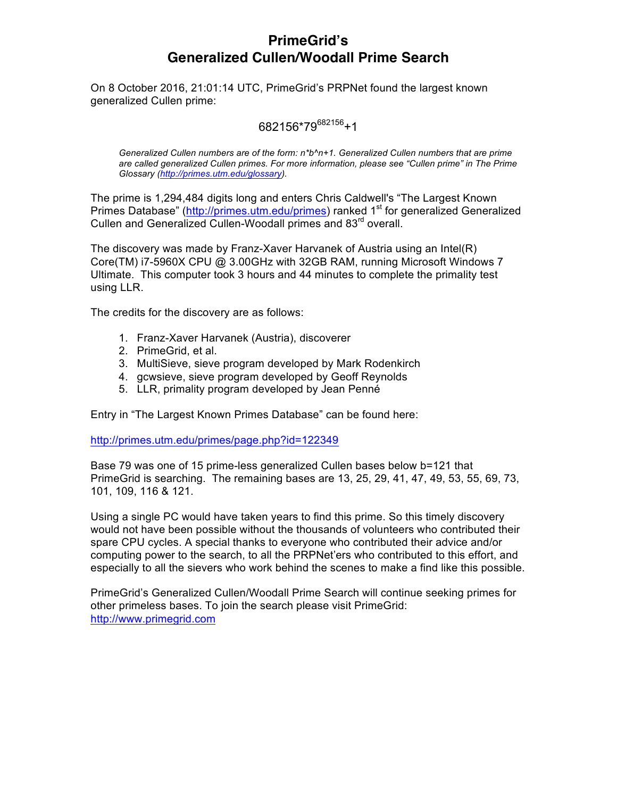# **PrimeGrid's Generalized Cullen/Woodall Prime Search**

On 8 October 2016, 21:01:14 UTC, PrimeGrid's PRPNet found the largest known generalized Cullen prime:

## 682156\*79682156+1

*Generalized Cullen numbers are of the form: n\*b^n+1. Generalized Cullen numbers that are prime are called generalized Cullen primes. For more information, please see "Cullen prime" in The Prime Glossary (http://primes.utm.edu/glossary).*

The prime is 1,294,484 digits long and enters Chris Caldwell's "The Largest Known Primes Database" (http://primes.utm.edu/primes) ranked 1<sup>st</sup> for generalized Generalized Cullen and Generalized Cullen-Woodall primes and 83<sup>rd</sup> overall.

The discovery was made by Franz-Xaver Harvanek of Austria using an Intel(R) Core(TM) i7-5960X CPU @ 3.00GHz with 32GB RAM, running Microsoft Windows 7 Ultimate. This computer took 3 hours and 44 minutes to complete the primality test using LLR.

The credits for the discovery are as follows:

- 1. Franz-Xaver Harvanek (Austria), discoverer
- 2. PrimeGrid, et al.
- 3. MultiSieve, sieve program developed by Mark Rodenkirch
- 4. gcwsieve, sieve program developed by Geoff Reynolds
- 5. LLR, primality program developed by Jean Penné

Entry in "The Largest Known Primes Database" can be found here:

http://primes.utm.edu/primes/page.php?id=122349

Base 79 was one of 15 prime-less generalized Cullen bases below b=121 that PrimeGrid is searching. The remaining bases are 13, 25, 29, 41, 47, 49, 53, 55, 69, 73, 101, 109, 116 & 121.

Using a single PC would have taken years to find this prime. So this timely discovery would not have been possible without the thousands of volunteers who contributed their spare CPU cycles. A special thanks to everyone who contributed their advice and/or computing power to the search, to all the PRPNet'ers who contributed to this effort, and especially to all the sievers who work behind the scenes to make a find like this possible.

PrimeGrid's Generalized Cullen/Woodall Prime Search will continue seeking primes for other primeless bases. To join the search please visit PrimeGrid: http://www.primegrid.com